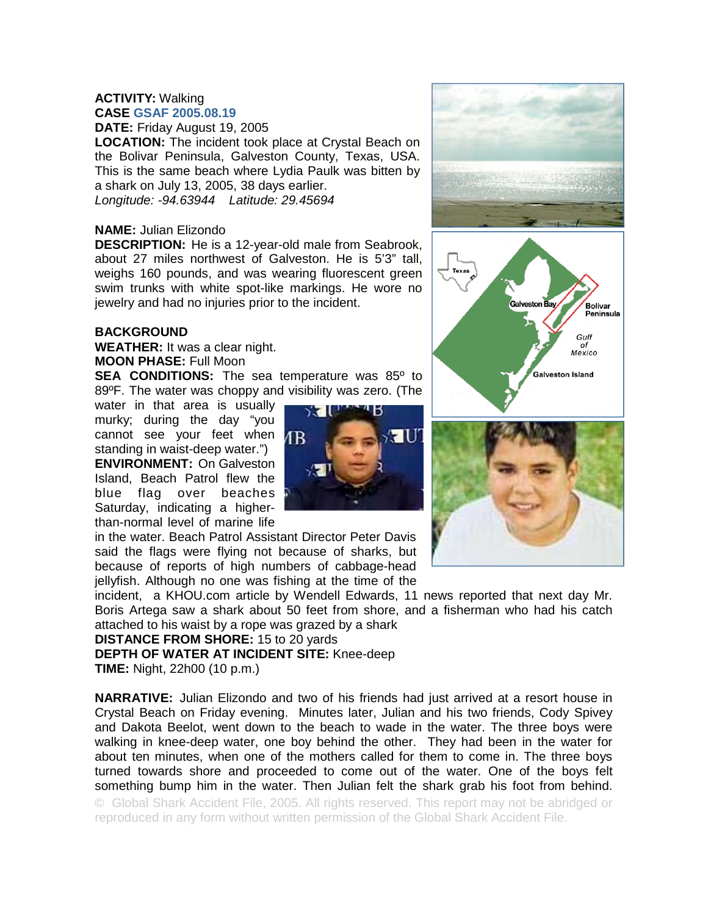## **ACTIVITY:** Walking **CASE GSAF 2005.08.19**

**DATE:** Friday August 19, 2005

**LOCATION:** The incident took place at Crystal Beach on the Bolivar Peninsula, Galveston County, Texas, USA. This is the same beach where Lydia Paulk was bitten by a shark on July 13, 2005, 38 days earlier. *Longitude: -94.63944 Latitude: 29.45694*

## **NAME:** Julian Elizondo

**DESCRIPTION:** He is a 12-year-old male from Seabrook, about 27 miles northwest of Galveston. He is 5'3" tall, weighs 160 pounds, and was wearing fluorescent green swim trunks with white spot-like markings. He wore no jewelry and had no injuries prior to the incident.

## **BACKGROUND**

**WEATHER:** It was a clear night. **MOON PHASE:** Full Moon

**SEA CONDITIONS:** The sea temperature was 85<sup>°</sup> to 89ºF. The water was choppy and visibility was zero. (The

water in that area is usually murky; during the day "you cannot see your feet when  $\sqrt{18}$ standing in waist-deep water.") **ENVIRONMENT:** On Galveston Island, Beach Patrol flew the blue flag over beaches Saturday, indicating a higherthan-normal level of marine life



in the water. Beach Patrol Assistant Director Peter Davis said the flags were flying not because of sharks, but because of reports of high numbers of cabbage-head jellyfish. Although no one was fishing at the time of the

incident, a KHOU.com article by Wendell Edwards, 11 news reported that next day Mr. Boris Artega saw a shark about 50 feet from shore, and a fisherman who had his catch attached to his waist by a rope was grazed by a shark

## **DISTANCE FROM SHORE:** 15 to 20 yards

**DEPTH OF WATER AT INCIDENT SITE:** Knee-deep **TIME:** Night, 22h00 (10 p.m.)

**NARRATIVE:** Julian Elizondo and two of his friends had just arrived at a resort house in Crystal Beach on Friday evening. Minutes later, Julian and his two friends, Cody Spivey and Dakota Beelot, went down to the beach to wade in the water. The three boys were walking in knee-deep water, one boy behind the other. They had been in the water for about ten minutes, when one of the mothers called for them to come in. The three boys turned towards shore and proceeded to come out of the water. One of the boys felt something bump him in the water. Then Julian felt the shark grab his foot from behind. © Global Shark Accident File, 2005. All rights reserved. This report may not be abridged or reproduced in any form without written permission of the Global Shark Accident File.